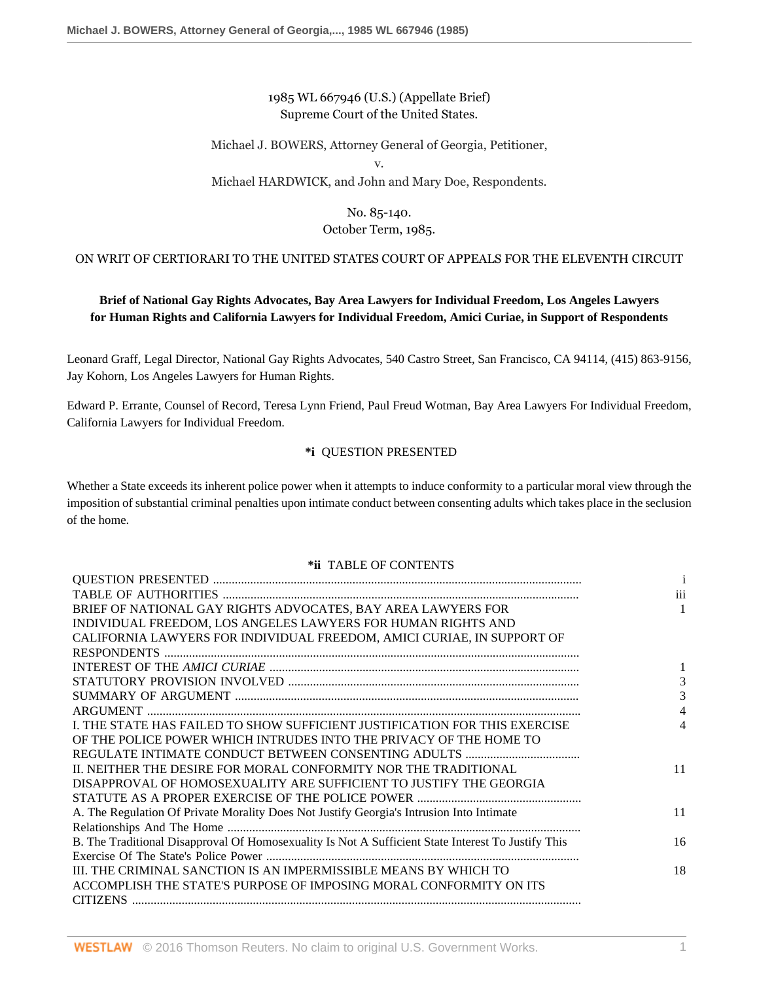## 1985 WL 667946 (U.S.) (Appellate Brief) Supreme Court of the United States.

### Michael J. BOWERS, Attorney General of Georgia, Petitioner, v.

### Michael HARDWICK, and John and Mary Doe, Respondents.

# No. 85-140.

# October Term, 1985.

### ON WRIT OF CERTIORARI TO THE UNITED STATES COURT OF APPEALS FOR THE ELEVENTH CIRCUIT

# **Brief of National Gay Rights Advocates, Bay Area Lawyers for Individual Freedom, Los Angeles Lawyers for Human Rights and California Lawyers for Individual Freedom, Amici Curiae, in Support of Respondents**

Leonard Graff, Legal Director, National Gay Rights Advocates, 540 Castro Street, San Francisco, CA 94114, (415) 863-9156, Jay Kohorn, Los Angeles Lawyers for Human Rights.

Edward P. Errante, Counsel of Record, Teresa Lynn Friend, Paul Freud Wotman, Bay Area Lawyers For Individual Freedom, California Lawyers for Individual Freedom.

### **\*i** QUESTION PRESENTED

Whether a State exceeds its inherent police power when it attempts to induce conformity to a particular moral view through the imposition of substantial criminal penalties upon intimate conduct between consenting adults which takes place in the seclusion of the home.

### **\*ii** TABLE OF CONTENTS

|                                                                                                    | i   |
|----------------------------------------------------------------------------------------------------|-----|
|                                                                                                    | iii |
| BRIEF OF NATIONAL GAY RIGHTS ADVOCATES, BAY AREA LAWYERS FOR                                       | 1   |
| INDIVIDUAL FREEDOM, LOS ANGELES LAWYERS FOR HUMAN RIGHTS AND                                       |     |
| CALIFORNIA LAWYERS FOR INDIVIDUAL FREEDOM, AMICI CURIAE, IN SUPPORT OF                             |     |
|                                                                                                    |     |
|                                                                                                    |     |
|                                                                                                    | 3   |
|                                                                                                    | 3   |
|                                                                                                    |     |
| I. THE STATE HAS FAILED TO SHOW SUFFICIENT JUSTIFICATION FOR THIS EXERCISE                         | 4   |
| OF THE POLICE POWER WHICH INTRUDES INTO THE PRIVACY OF THE HOME TO                                 |     |
|                                                                                                    |     |
| IL NEITHER THE DESIRE FOR MORAL CONFORMITY NOR THE TRADITIONAL                                     | 11  |
| DISAPPROVAL OF HOMOSEXUALITY ARE SUFFICIENT TO JUSTIFY THE GEORGIA                                 |     |
|                                                                                                    |     |
| A. The Regulation Of Private Morality Does Not Justify Georgia's Intrusion Into Intimate           | 11  |
|                                                                                                    |     |
| B. The Traditional Disapproval Of Homosexuality Is Not A Sufficient State Interest To Justify This | 16  |
|                                                                                                    |     |
| III. THE CRIMINAL SANCTION IS AN IMPERMISSIBLE MEANS BY WHICH TO                                   | 18  |
| ACCOMPLISH THE STATE'S PURPOSE OF IMPOSING MORAL CONFORMITY ON ITS                                 |     |
|                                                                                                    |     |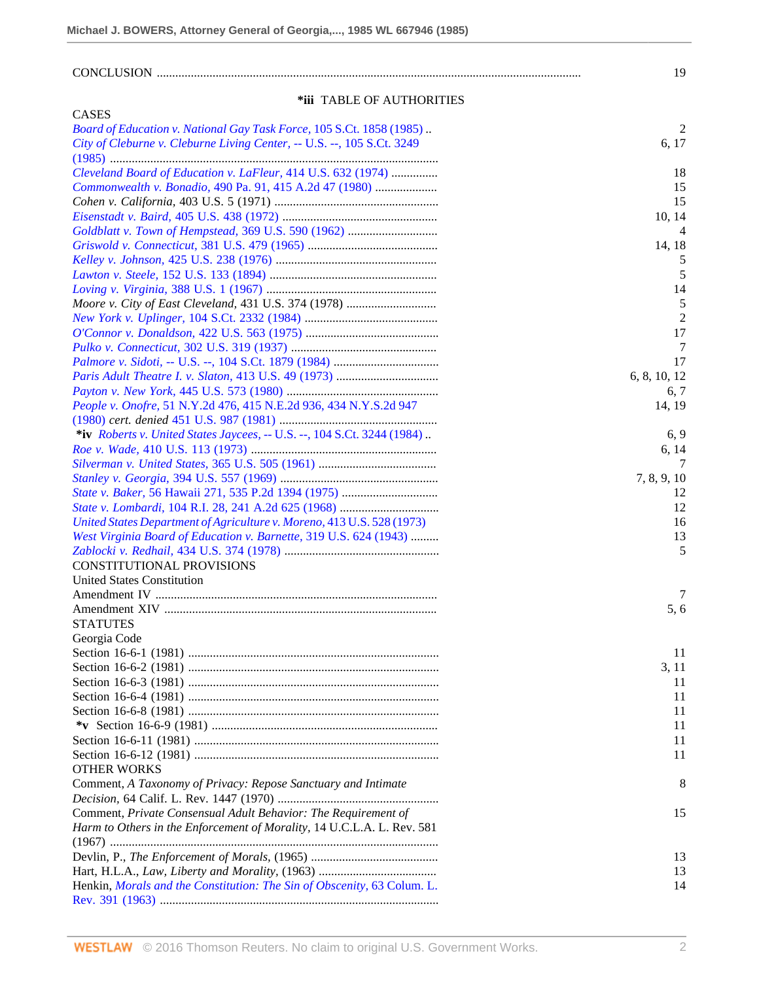# CONCLUSION ......................................................................................................................................... 19

### **\*iii** TABLE OF AUTHORITIES

| <b>CASES</b>                                                            |                |
|-------------------------------------------------------------------------|----------------|
| Board of Education v. National Gay Task Force, 105 S.Ct. 1858 (1985).   | 2              |
| City of Cleburne v. Cleburne Living Center, -- U.S. --, 105 S.Ct. 3249  | 6, 17          |
|                                                                         |                |
| Cleveland Board of Education v. LaFleur, 414 U.S. 632 (1974)            | 18             |
| Commonwealth v. Bonadio, 490 Pa. 91, 415 A.2d 47 (1980)                 | 15             |
|                                                                         | 15             |
|                                                                         | 10, 14         |
|                                                                         | 4              |
|                                                                         | 14, 18         |
|                                                                         | 5              |
|                                                                         | 5              |
|                                                                         | 14             |
|                                                                         | 5              |
|                                                                         | $\overline{2}$ |
|                                                                         | 17             |
|                                                                         | 7              |
|                                                                         | 17             |
|                                                                         |                |
|                                                                         | 6, 8, 10, 12   |
|                                                                         | 6, 7           |
| People v. Onofre, 51 N.Y.2d 476, 415 N.E.2d 936, 434 N.Y.S.2d 947       | 14, 19         |
|                                                                         |                |
| *iv Roberts v. United States Jaycees, -- U.S. --, 104 S.Ct. 3244 (1984) | 6, 9           |
|                                                                         | 6, 14          |
|                                                                         | 7              |
|                                                                         | 7, 8, 9, 10    |
|                                                                         | 12             |
|                                                                         | 12             |
| United States Department of Agriculture v. Moreno, 413 U.S. 528 (1973)  | 16             |
| West Virginia Board of Education v. Barnette, 319 U.S. 624 (1943)       | 13             |
|                                                                         | 5              |
| CONSTITUTIONAL PROVISIONS                                               |                |
| <b>United States Constitution</b>                                       |                |
|                                                                         | 7              |
|                                                                         | 5, 6           |
| <b>STATUTES</b>                                                         |                |
| Georgia Code                                                            |                |
|                                                                         | 11             |
|                                                                         | 3, 11          |
|                                                                         | 11             |
|                                                                         | 11             |
|                                                                         | 11             |
|                                                                         | 11             |
|                                                                         | 11             |
|                                                                         | 11             |
| <b>OTHER WORKS</b>                                                      |                |
|                                                                         |                |
| Comment, A Taxonomy of Privacy: Repose Sanctuary and Intimate           | 8              |
|                                                                         |                |
| Comment, Private Consensual Adult Behavior: The Requirement of          | 15             |
| Harm to Others in the Enforcement of Morality, 14 U.C.L.A. L. Rev. 581  |                |
|                                                                         |                |
|                                                                         | 13             |
|                                                                         | 13             |
| Henkin, Morals and the Constitution: The Sin of Obscenity, 63 Colum. L. | 14             |
|                                                                         |                |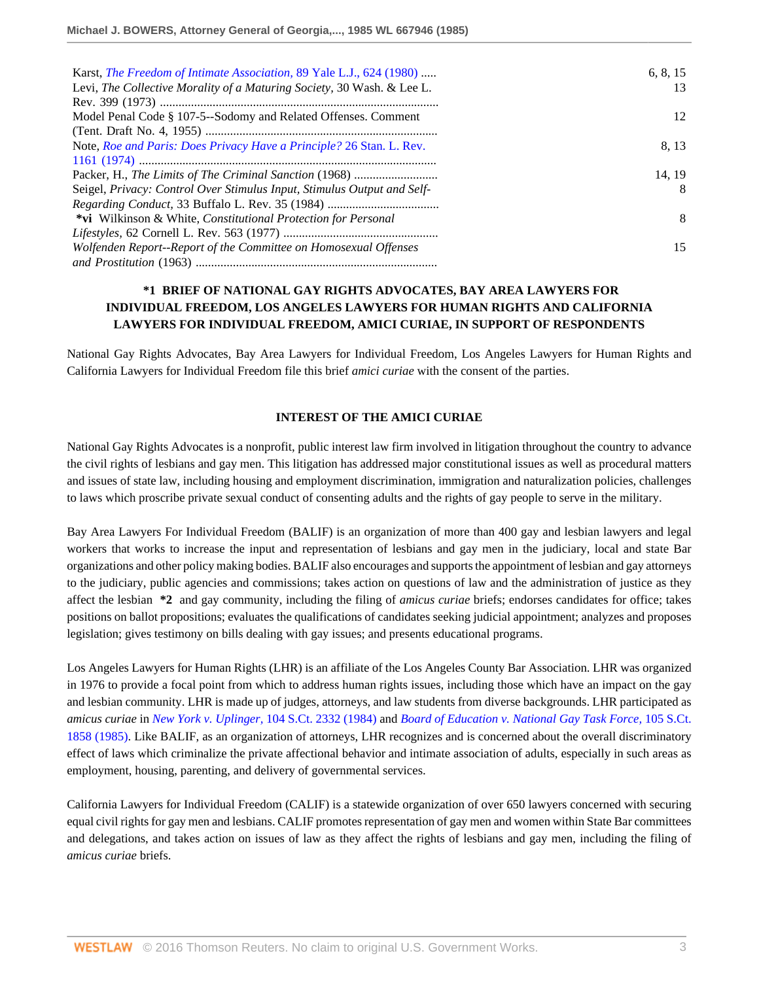| Karst, <i>The Freedom of Intimate Association</i> , 89 Yale L.J., 624 (1980) | 6, 8, 15 |
|------------------------------------------------------------------------------|----------|
| Levi, The Collective Morality of a Maturing Society, 30 Wash. & Lee L.       | 13       |
|                                                                              |          |
| Model Penal Code § 107-5--Sodomy and Related Offenses. Comment               | 12       |
|                                                                              |          |
| Note, Roe and Paris: Does Privacy Have a Principle? 26 Stan. L. Rev.         | 8.13     |
|                                                                              |          |
|                                                                              | 14, 19   |
| Seigel, Privacy: Control Over Stimulus Input, Stimulus Output and Self-      | 8        |
|                                                                              |          |
| <i>*vi</i> Wilkinson & White, <i>Constitutional Protection for Personal</i>  | 8        |
|                                                                              |          |
| Wolfenden Report--Report of the Committee on Homosexual Offenses             | 15       |
|                                                                              |          |

## **\*1 BRIEF OF NATIONAL GAY RIGHTS ADVOCATES, BAY AREA LAWYERS FOR INDIVIDUAL FREEDOM, LOS ANGELES LAWYERS FOR HUMAN RIGHTS AND CALIFORNIA LAWYERS FOR INDIVIDUAL FREEDOM, AMICI CURIAE, IN SUPPORT OF RESPONDENTS**

National Gay Rights Advocates, Bay Area Lawyers for Individual Freedom, Los Angeles Lawyers for Human Rights and California Lawyers for Individual Freedom file this brief *amici curiae* with the consent of the parties.

#### **INTEREST OF THE AMICI CURIAE**

National Gay Rights Advocates is a nonprofit, public interest law firm involved in litigation throughout the country to advance the civil rights of lesbians and gay men. This litigation has addressed major constitutional issues as well as procedural matters and issues of state law, including housing and employment discrimination, immigration and naturalization policies, challenges to laws which proscribe private sexual conduct of consenting adults and the rights of gay people to serve in the military.

Bay Area Lawyers For Individual Freedom (BALIF) is an organization of more than 400 gay and lesbian lawyers and legal workers that works to increase the input and representation of lesbians and gay men in the judiciary, local and state Bar organizations and other policy making bodies. BALIF also encourages and supports the appointment of lesbian and gay attorneys to the judiciary, public agencies and commissions; takes action on questions of law and the administration of justice as they affect the lesbian **\*2** and gay community, including the filing of *amicus curiae* briefs; endorses candidates for office; takes positions on ballot propositions; evaluates the qualifications of candidates seeking judicial appointment; analyzes and proposes legislation; gives testimony on bills dealing with gay issues; and presents educational programs.

Los Angeles Lawyers for Human Rights (LHR) is an affiliate of the Los Angeles County Bar Association. LHR was organized in 1976 to provide a focal point from which to address human rights issues, including those which have an impact on the gay and lesbian community. LHR is made up of judges, attorneys, and law students from diverse backgrounds. LHR participated as *amicus curiae* in *New York v. Uplinger,* [104 S.Ct. 2332 \(1984\)](http://www.westlaw.com/Link/Document/FullText?findType=Y&serNum=1984126049&pubNum=708&originatingDoc=I133b58e06bec11d8b6329c82bf4522fb&refType=RP&originationContext=document&vr=3.0&rs=cblt1.0&transitionType=DocumentItem&contextData=(sc.RelatedInfo)) and *[Board of Education v. National Gay Task Force,](http://www.westlaw.com/Link/Document/FullText?findType=Y&serNum=1985216909&pubNum=708&originatingDoc=I133b58e06bec11d8b6329c82bf4522fb&refType=RP&originationContext=document&vr=3.0&rs=cblt1.0&transitionType=DocumentItem&contextData=(sc.RelatedInfo))* 105 S.Ct. [1858 \(1985\)](http://www.westlaw.com/Link/Document/FullText?findType=Y&serNum=1985216909&pubNum=708&originatingDoc=I133b58e06bec11d8b6329c82bf4522fb&refType=RP&originationContext=document&vr=3.0&rs=cblt1.0&transitionType=DocumentItem&contextData=(sc.RelatedInfo)). Like BALIF, as an organization of attorneys, LHR recognizes and is concerned about the overall discriminatory effect of laws which criminalize the private affectional behavior and intimate association of adults, especially in such areas as employment, housing, parenting, and delivery of governmental services.

California Lawyers for Individual Freedom (CALIF) is a statewide organization of over 650 lawyers concerned with securing equal civil rights for gay men and lesbians. CALIF promotes representation of gay men and women within State Bar committees and delegations, and takes action on issues of law as they affect the rights of lesbians and gay men, including the filing of *amicus curiae* briefs.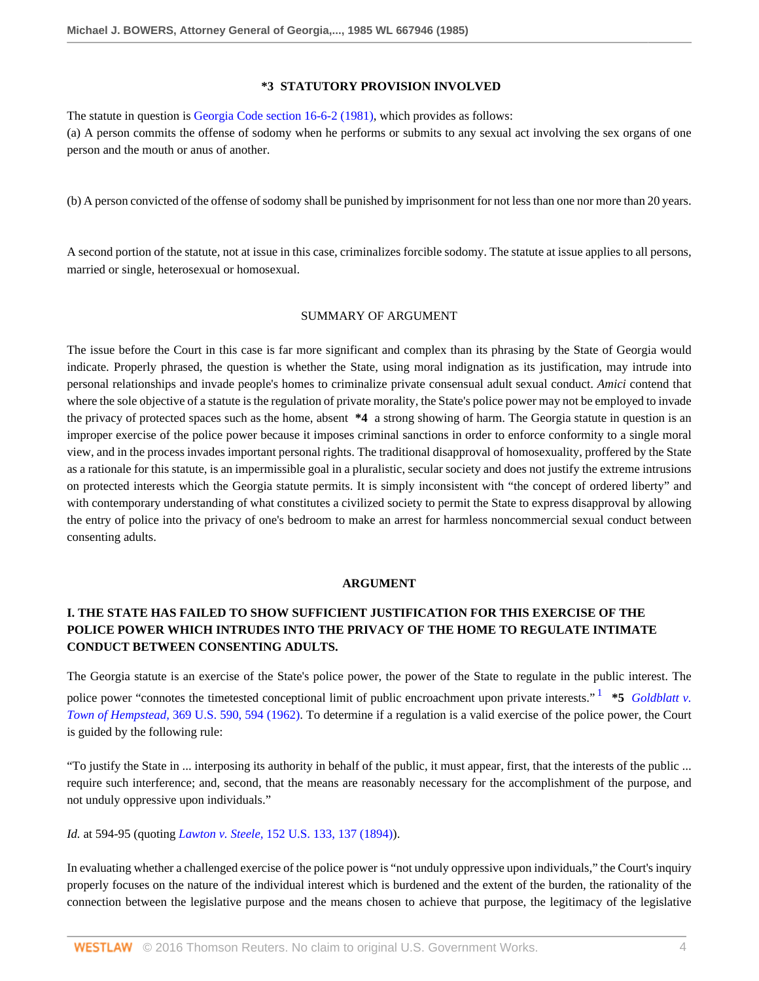#### **\*3 STATUTORY PROVISION INVOLVED**

The statute in question is [Georgia Code section 16-6-2 \(1981\)](http://www.westlaw.com/Link/Document/FullText?findType=L&pubNum=1000468&cite=GAST16-6-2&originatingDoc=I133b58e06bec11d8b6329c82bf4522fb&refType=LQ&originationContext=document&vr=3.0&rs=cblt1.0&transitionType=DocumentItem&contextData=(sc.RelatedInfo)), which provides as follows: (a) A person commits the offense of sodomy when he performs or submits to any sexual act involving the sex organs of one person and the mouth or anus of another.

(b) A person convicted of the offense of sodomy shall be punished by imprisonment for not less than one nor more than 20 years.

A second portion of the statute, not at issue in this case, criminalizes forcible sodomy. The statute at issue applies to all persons, married or single, heterosexual or homosexual.

#### SUMMARY OF ARGUMENT

The issue before the Court in this case is far more significant and complex than its phrasing by the State of Georgia would indicate. Properly phrased, the question is whether the State, using moral indignation as its justification, may intrude into personal relationships and invade people's homes to criminalize private consensual adult sexual conduct. *Amici* contend that where the sole objective of a statute is the regulation of private morality, the State's police power may not be employed to invade the privacy of protected spaces such as the home, absent **\*4** a strong showing of harm. The Georgia statute in question is an improper exercise of the police power because it imposes criminal sanctions in order to enforce conformity to a single moral view, and in the process invades important personal rights. The traditional disapproval of homosexuality, proffered by the State as a rationale for this statute, is an impermissible goal in a pluralistic, secular society and does not justify the extreme intrusions on protected interests which the Georgia statute permits. It is simply inconsistent with "the concept of ordered liberty" and with contemporary understanding of what constitutes a civilized society to permit the State to express disapproval by allowing the entry of police into the privacy of one's bedroom to make an arrest for harmless noncommercial sexual conduct between consenting adults.

#### <span id="page-3-0"></span>**ARGUMENT**

# **I. THE STATE HAS FAILED TO SHOW SUFFICIENT JUSTIFICATION FOR THIS EXERCISE OF THE POLICE POWER WHICH INTRUDES INTO THE PRIVACY OF THE HOME TO REGULATE INTIMATE CONDUCT BETWEEN CONSENTING ADULTS.**

The Georgia statute is an exercise of the State's police power, the power of the State to regulate in the public interest. The police power "connotes the timetested conceptional limit of public encroachment upon private interests."<sup>[1](#page-9-0)</sup> \*5 *Goldblatt v*. *Town of Hempstead,* [369 U.S. 590, 594 \(1962\)](http://www.westlaw.com/Link/Document/FullText?findType=Y&serNum=1962101921&pubNum=780&originatingDoc=I133b58e06bec11d8b6329c82bf4522fb&refType=RP&fi=co_pp_sp_780_594&originationContext=document&vr=3.0&rs=cblt1.0&transitionType=DocumentItem&contextData=(sc.RelatedInfo)#co_pp_sp_780_594). To determine if a regulation is a valid exercise of the police power, the Court is guided by the following rule:

"To justify the State in ... interposing its authority in behalf of the public, it must appear, first, that the interests of the public ... require such interference; and, second, that the means are reasonably necessary for the accomplishment of the purpose, and not unduly oppressive upon individuals."

# *Id.* at 594-95 (quoting *Lawton v. Steele,* [152 U.S. 133, 137 \(1894\)](http://www.westlaw.com/Link/Document/FullText?findType=Y&serNum=1894180049&pubNum=780&originatingDoc=I133b58e06bec11d8b6329c82bf4522fb&refType=RP&fi=co_pp_sp_780_137&originationContext=document&vr=3.0&rs=cblt1.0&transitionType=DocumentItem&contextData=(sc.RelatedInfo)#co_pp_sp_780_137)).

In evaluating whether a challenged exercise of the police power is "not unduly oppressive upon individuals," the Court's inquiry properly focuses on the nature of the individual interest which is burdened and the extent of the burden, the rationality of the connection between the legislative purpose and the means chosen to achieve that purpose, the legitimacy of the legislative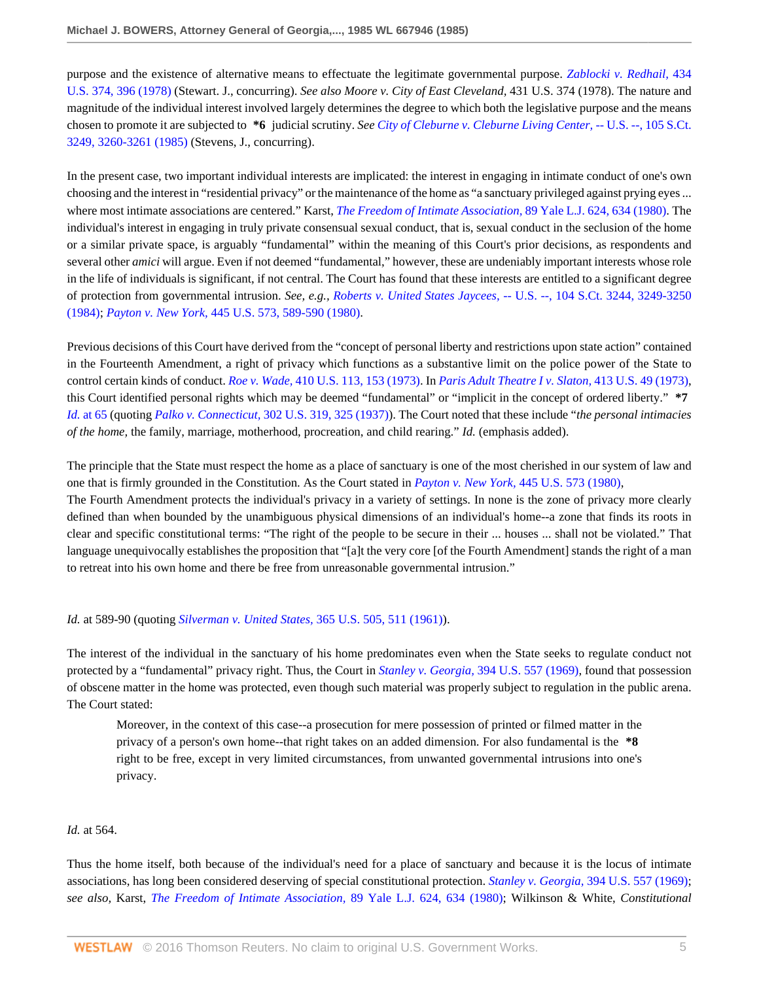purpose and the existence of alternative means to effectuate the legitimate governmental purpose. *[Zablocki v. Redhail,](http://www.westlaw.com/Link/Document/FullText?findType=Y&serNum=1978114179&pubNum=780&originatingDoc=I133b58e06bec11d8b6329c82bf4522fb&refType=RP&fi=co_pp_sp_780_396&originationContext=document&vr=3.0&rs=cblt1.0&transitionType=DocumentItem&contextData=(sc.RelatedInfo)#co_pp_sp_780_396)* 434 [U.S. 374, 396 \(1978\)](http://www.westlaw.com/Link/Document/FullText?findType=Y&serNum=1978114179&pubNum=780&originatingDoc=I133b58e06bec11d8b6329c82bf4522fb&refType=RP&fi=co_pp_sp_780_396&originationContext=document&vr=3.0&rs=cblt1.0&transitionType=DocumentItem&contextData=(sc.RelatedInfo)#co_pp_sp_780_396) (Stewart. J., concurring). *See also Moore v. City of East Cleveland,* 431 U.S. 374 (1978). The nature and magnitude of the individual interest involved largely determines the degree to which both the legislative purpose and the means chosen to promote it are subjected to **\*6** judicial scrutiny. *See [City of Cleburne v. Cleburne Living Center,](http://www.westlaw.com/Link/Document/FullText?findType=Y&serNum=1985133474&pubNum=708&originatingDoc=I133b58e06bec11d8b6329c82bf4522fb&refType=RP&fi=co_pp_sp_708_3260&originationContext=document&vr=3.0&rs=cblt1.0&transitionType=DocumentItem&contextData=(sc.RelatedInfo)#co_pp_sp_708_3260)* -- U.S. --, 105 S.Ct. [3249, 3260-3261 \(1985\)](http://www.westlaw.com/Link/Document/FullText?findType=Y&serNum=1985133474&pubNum=708&originatingDoc=I133b58e06bec11d8b6329c82bf4522fb&refType=RP&fi=co_pp_sp_708_3260&originationContext=document&vr=3.0&rs=cblt1.0&transitionType=DocumentItem&contextData=(sc.RelatedInfo)#co_pp_sp_708_3260) (Stevens, J., concurring).

In the present case, two important individual interests are implicated: the interest in engaging in intimate conduct of one's own choosing and the interest in "residential privacy" or the maintenance of the home as "a sanctuary privileged against prying eyes ... where most intimate associations are centered." Karst, *[The Freedom of Intimate Association,](http://www.westlaw.com/Link/Document/FullText?findType=Y&serNum=0332705193&pubNum=1292&originatingDoc=I133b58e06bec11d8b6329c82bf4522fb&refType=LR&fi=co_pp_sp_1292_634&originationContext=document&vr=3.0&rs=cblt1.0&transitionType=DocumentItem&contextData=(sc.RelatedInfo)#co_pp_sp_1292_634)* 89 Yale L.J. 624, 634 (1980). The individual's interest in engaging in truly private consensual sexual conduct, that is, sexual conduct in the seclusion of the home or a similar private space, is arguably "fundamental" within the meaning of this Court's prior decisions, as respondents and several other *amici* will argue. Even if not deemed "fundamental," however, these are undeniably important interests whose role in the life of individuals is significant, if not central. The Court has found that these interests are entitled to a significant degree of protection from governmental intrusion. *See, e.g., Roberts v. United States Jaycees,* [-- U.S. --, 104 S.Ct. 3244, 3249-3250](http://www.westlaw.com/Link/Document/FullText?findType=Y&serNum=1984132349&pubNum=708&originatingDoc=I133b58e06bec11d8b6329c82bf4522fb&refType=RP&fi=co_pp_sp_708_3249&originationContext=document&vr=3.0&rs=cblt1.0&transitionType=DocumentItem&contextData=(sc.RelatedInfo)#co_pp_sp_708_3249) [\(1984\);](http://www.westlaw.com/Link/Document/FullText?findType=Y&serNum=1984132349&pubNum=708&originatingDoc=I133b58e06bec11d8b6329c82bf4522fb&refType=RP&fi=co_pp_sp_708_3249&originationContext=document&vr=3.0&rs=cblt1.0&transitionType=DocumentItem&contextData=(sc.RelatedInfo)#co_pp_sp_708_3249) *Payton v. New York,* [445 U.S. 573, 589-590 \(1980\).](http://www.westlaw.com/Link/Document/FullText?findType=Y&serNum=1980111413&pubNum=780&originatingDoc=I133b58e06bec11d8b6329c82bf4522fb&refType=RP&fi=co_pp_sp_780_589&originationContext=document&vr=3.0&rs=cblt1.0&transitionType=DocumentItem&contextData=(sc.RelatedInfo)#co_pp_sp_780_589)

Previous decisions of this Court have derived from the "concept of personal liberty and restrictions upon state action" contained in the Fourteenth Amendment, a right of privacy which functions as a substantive limit on the police power of the State to control certain kinds of conduct. *Roe v. Wade,* [410 U.S. 113, 153 \(1973\).](http://www.westlaw.com/Link/Document/FullText?findType=Y&serNum=1973126316&pubNum=780&originatingDoc=I133b58e06bec11d8b6329c82bf4522fb&refType=RP&fi=co_pp_sp_780_153&originationContext=document&vr=3.0&rs=cblt1.0&transitionType=DocumentItem&contextData=(sc.RelatedInfo)#co_pp_sp_780_153) In *[Paris Adult Theatre I v. Slaton,](http://www.westlaw.com/Link/Document/FullText?findType=Y&serNum=1973126440&pubNum=780&originatingDoc=I133b58e06bec11d8b6329c82bf4522fb&refType=RP&originationContext=document&vr=3.0&rs=cblt1.0&transitionType=DocumentItem&contextData=(sc.RelatedInfo))* 413 U.S. 49 (1973), this Court identified personal rights which may be deemed "fundamental" or "implicit in the concept of ordered liberty." **\*7** *Id.* [at 65](http://www.westlaw.com/Link/Document/FullText?findType=Y&serNum=1973126440&originatingDoc=I133b58e06bec11d8b6329c82bf4522fb&refType=RP&originationContext=document&vr=3.0&rs=cblt1.0&transitionType=DocumentItem&contextData=(sc.RelatedInfo)) (quoting *Palko v. Connecticut,* [302 U.S. 319, 325 \(1937\)\)](http://www.westlaw.com/Link/Document/FullText?findType=Y&serNum=1937123063&pubNum=780&originatingDoc=I133b58e06bec11d8b6329c82bf4522fb&refType=RP&fi=co_pp_sp_780_325&originationContext=document&vr=3.0&rs=cblt1.0&transitionType=DocumentItem&contextData=(sc.RelatedInfo)#co_pp_sp_780_325). The Court noted that these include "*the personal intimacies of the home,* the family, marriage, motherhood, procreation, and child rearing." *Id.* (emphasis added).

The principle that the State must respect the home as a place of sanctuary is one of the most cherished in our system of law and one that is firmly grounded in the Constitution. As the Court stated in *Payton v. New York,* [445 U.S. 573 \(1980\),](http://www.westlaw.com/Link/Document/FullText?findType=Y&serNum=1980111413&pubNum=780&originatingDoc=I133b58e06bec11d8b6329c82bf4522fb&refType=RP&originationContext=document&vr=3.0&rs=cblt1.0&transitionType=DocumentItem&contextData=(sc.RelatedInfo))

The Fourth Amendment protects the individual's privacy in a variety of settings. In none is the zone of privacy more clearly defined than when bounded by the unambiguous physical dimensions of an individual's home--a zone that finds its roots in clear and specific constitutional terms: "The right of the people to be secure in their ... houses ... shall not be violated." That language unequivocally establishes the proposition that "[a]t the very core [of the Fourth Amendment] stands the right of a man to retreat into his own home and there be free from unreasonable governmental intrusion."

### *Id.* at 589-90 (quoting *[Silverman v. United States,](http://www.westlaw.com/Link/Document/FullText?findType=Y&serNum=1961125447&pubNum=780&originatingDoc=I133b58e06bec11d8b6329c82bf4522fb&refType=RP&fi=co_pp_sp_780_511&originationContext=document&vr=3.0&rs=cblt1.0&transitionType=DocumentItem&contextData=(sc.RelatedInfo)#co_pp_sp_780_511)* 365 U.S. 505, 511 (1961)).

The interest of the individual in the sanctuary of his home predominates even when the State seeks to regulate conduct not protected by a "fundamental" privacy right. Thus, the Court in *Stanley v. Georgia,* [394 U.S. 557 \(1969\)](http://www.westlaw.com/Link/Document/FullText?findType=Y&serNum=1969132965&pubNum=780&originatingDoc=I133b58e06bec11d8b6329c82bf4522fb&refType=RP&originationContext=document&vr=3.0&rs=cblt1.0&transitionType=DocumentItem&contextData=(sc.RelatedInfo)), found that possession of obscene matter in the home was protected, even though such material was properly subject to regulation in the public arena. The Court stated:

Moreover, in the context of this case--a prosecution for mere possession of printed or filmed matter in the privacy of a person's own home--that right takes on an added dimension. For also fundamental is the **\*8** right to be free, except in very limited circumstances, from unwanted governmental intrusions into one's privacy.

#### *Id.* at 564.

Thus the home itself, both because of the individual's need for a place of sanctuary and because it is the locus of intimate associations, has long been considered deserving of special constitutional protection. *Stanley v. Georgia,* [394 U.S. 557 \(1969\)](http://www.westlaw.com/Link/Document/FullText?findType=Y&serNum=1969132965&pubNum=780&originatingDoc=I133b58e06bec11d8b6329c82bf4522fb&refType=RP&originationContext=document&vr=3.0&rs=cblt1.0&transitionType=DocumentItem&contextData=(sc.RelatedInfo)); *see also,* Karst, *[The Freedom of Intimate Association,](http://www.westlaw.com/Link/Document/FullText?findType=Y&serNum=0332705193&pubNum=1292&originatingDoc=I133b58e06bec11d8b6329c82bf4522fb&refType=LR&fi=co_pp_sp_1292_634&originationContext=document&vr=3.0&rs=cblt1.0&transitionType=DocumentItem&contextData=(sc.RelatedInfo)#co_pp_sp_1292_634)* 89 Yale L.J. 624, 634 (1980); Wilkinson & White, *Constitutional*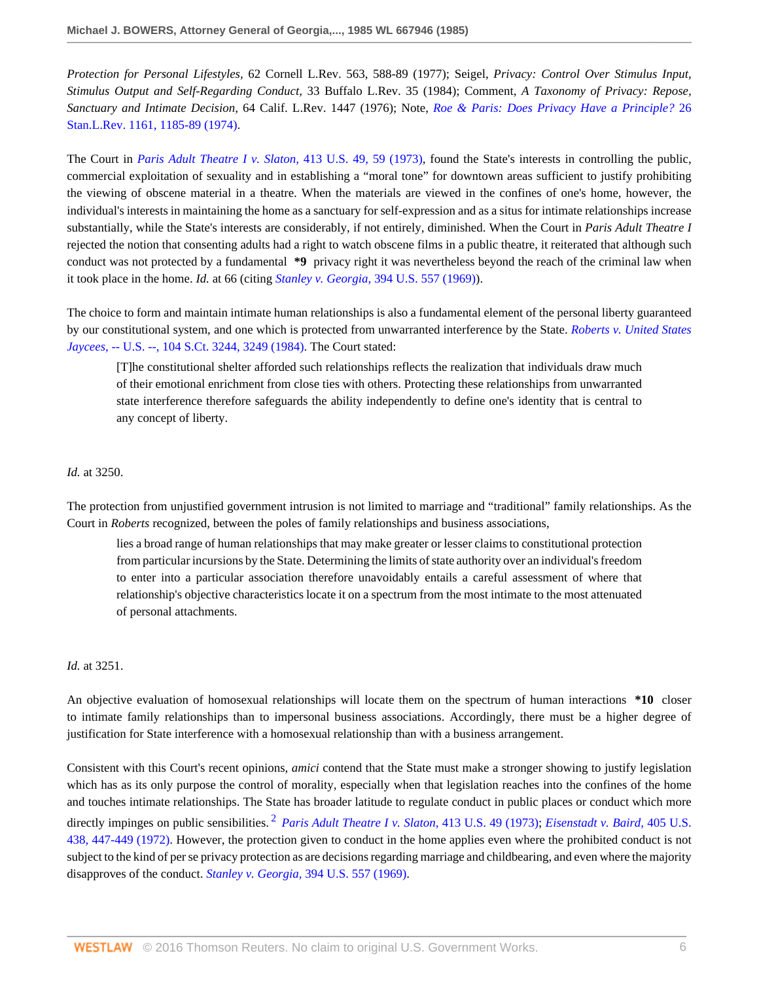*Protection for Personal Lifestyles,* 62 Cornell L.Rev. 563, 588-89 (1977); Seigel, *Privacy: Control Over Stimulus Input, Stimulus Output and Self-Regarding Conduct,* 33 Buffalo L.Rev. 35 (1984); Comment, *A Taxonomy of Privacy: Repose, Sanctuary and Intimate Decision,* 64 Calif. L.Rev. 1447 (1976); Note, *[Roe & Paris: Does Privacy Have a Principle?](http://www.westlaw.com/Link/Document/FullText?findType=Y&serNum=0306383216&pubNum=1239&originatingDoc=I133b58e06bec11d8b6329c82bf4522fb&refType=LR&fi=co_pp_sp_1239_1185&originationContext=document&vr=3.0&rs=cblt1.0&transitionType=DocumentItem&contextData=(sc.RelatedInfo)#co_pp_sp_1239_1185)* 26 [Stan.L.Rev. 1161, 1185-89 \(1974\)](http://www.westlaw.com/Link/Document/FullText?findType=Y&serNum=0306383216&pubNum=1239&originatingDoc=I133b58e06bec11d8b6329c82bf4522fb&refType=LR&fi=co_pp_sp_1239_1185&originationContext=document&vr=3.0&rs=cblt1.0&transitionType=DocumentItem&contextData=(sc.RelatedInfo)#co_pp_sp_1239_1185).

The Court in *[Paris Adult Theatre I v. Slaton,](http://www.westlaw.com/Link/Document/FullText?findType=Y&serNum=1973126440&pubNum=780&originatingDoc=I133b58e06bec11d8b6329c82bf4522fb&refType=RP&fi=co_pp_sp_780_59&originationContext=document&vr=3.0&rs=cblt1.0&transitionType=DocumentItem&contextData=(sc.RelatedInfo)#co_pp_sp_780_59)* 413 U.S. 49, 59 (1973), found the State's interests in controlling the public, commercial exploitation of sexuality and in establishing a "moral tone" for downtown areas sufficient to justify prohibiting the viewing of obscene material in a theatre. When the materials are viewed in the confines of one's home, however, the individual's interests in maintaining the home as a sanctuary for self-expression and as a situs for intimate relationships increase substantially, while the State's interests are considerably, if not entirely, diminished. When the Court in *Paris Adult Theatre I* rejected the notion that consenting adults had a right to watch obscene films in a public theatre, it reiterated that although such conduct was not protected by a fundamental **\*9** privacy right it was nevertheless beyond the reach of the criminal law when it took place in the home. *Id.* at 66 (citing *Stanley v. Georgia,* [394 U.S. 557 \(1969\)\)](http://www.westlaw.com/Link/Document/FullText?findType=Y&serNum=1969132965&pubNum=780&originatingDoc=I133b58e06bec11d8b6329c82bf4522fb&refType=RP&originationContext=document&vr=3.0&rs=cblt1.0&transitionType=DocumentItem&contextData=(sc.RelatedInfo)).

The choice to form and maintain intimate human relationships is also a fundamental element of the personal liberty guaranteed by our constitutional system, and one which is protected from unwarranted interference by the State. *[Roberts v. United States](http://www.westlaw.com/Link/Document/FullText?findType=Y&serNum=1984132349&pubNum=708&originatingDoc=I133b58e06bec11d8b6329c82bf4522fb&refType=RP&fi=co_pp_sp_708_3249&originationContext=document&vr=3.0&rs=cblt1.0&transitionType=DocumentItem&contextData=(sc.RelatedInfo)#co_pp_sp_708_3249) Jaycees,* [-- U.S. --, 104 S.Ct. 3244, 3249 \(1984\)](http://www.westlaw.com/Link/Document/FullText?findType=Y&serNum=1984132349&pubNum=708&originatingDoc=I133b58e06bec11d8b6329c82bf4522fb&refType=RP&fi=co_pp_sp_708_3249&originationContext=document&vr=3.0&rs=cblt1.0&transitionType=DocumentItem&contextData=(sc.RelatedInfo)#co_pp_sp_708_3249). The Court stated:

[T]he constitutional shelter afforded such relationships reflects the realization that individuals draw much of their emotional enrichment from close ties with others. Protecting these relationships from unwarranted state interference therefore safeguards the ability independently to define one's identity that is central to any concept of liberty.

#### *Id.* at 3250.

The protection from unjustified government intrusion is not limited to marriage and "traditional" family relationships. As the Court in *Roberts* recognized, between the poles of family relationships and business associations,

lies a broad range of human relationships that may make greater or lesser claims to constitutional protection from particular incursions by the State. Determining the limits of state authority over an individual's freedom to enter into a particular association therefore unavoidably entails a careful assessment of where that relationship's objective characteristics locate it on a spectrum from the most intimate to the most attenuated of personal attachments.

#### *Id.* at 3251.

An objective evaluation of homosexual relationships will locate them on the spectrum of human interactions **\*10** closer to intimate family relationships than to impersonal business associations. Accordingly, there must be a higher degree of justification for State interference with a homosexual relationship than with a business arrangement.

<span id="page-5-0"></span>Consistent with this Court's recent opinions, *amici* contend that the State must make a stronger showing to justify legislation which has as its only purpose the control of morality, especially when that legislation reaches into the confines of the home and touches intimate relationships. The State has broader latitude to regulate conduct in public places or conduct which more directly impinges on public sensibilities. [2](#page-9-1) *[Paris Adult Theatre I v. Slaton,](http://www.westlaw.com/Link/Document/FullText?findType=Y&serNum=1973126440&pubNum=780&originatingDoc=I133b58e06bec11d8b6329c82bf4522fb&refType=RP&originationContext=document&vr=3.0&rs=cblt1.0&transitionType=DocumentItem&contextData=(sc.RelatedInfo))* 413 U.S. 49 (1973); *[Eisenstadt v. Baird,](http://www.westlaw.com/Link/Document/FullText?findType=Y&serNum=1972127089&pubNum=780&originatingDoc=I133b58e06bec11d8b6329c82bf4522fb&refType=RP&fi=co_pp_sp_780_447&originationContext=document&vr=3.0&rs=cblt1.0&transitionType=DocumentItem&contextData=(sc.RelatedInfo)#co_pp_sp_780_447)* 405 U.S. [438, 447-449 \(1972\).](http://www.westlaw.com/Link/Document/FullText?findType=Y&serNum=1972127089&pubNum=780&originatingDoc=I133b58e06bec11d8b6329c82bf4522fb&refType=RP&fi=co_pp_sp_780_447&originationContext=document&vr=3.0&rs=cblt1.0&transitionType=DocumentItem&contextData=(sc.RelatedInfo)#co_pp_sp_780_447) However, the protection given to conduct in the home applies even where the prohibited conduct is not subject to the kind of per se privacy protection as are decisions regarding marriage and childbearing, and even where the majority disapproves of the conduct. *Stanley v. Georgia,* [394 U.S. 557 \(1969\)](http://www.westlaw.com/Link/Document/FullText?findType=Y&serNum=1969132965&pubNum=780&originatingDoc=I133b58e06bec11d8b6329c82bf4522fb&refType=RP&originationContext=document&vr=3.0&rs=cblt1.0&transitionType=DocumentItem&contextData=(sc.RelatedInfo)).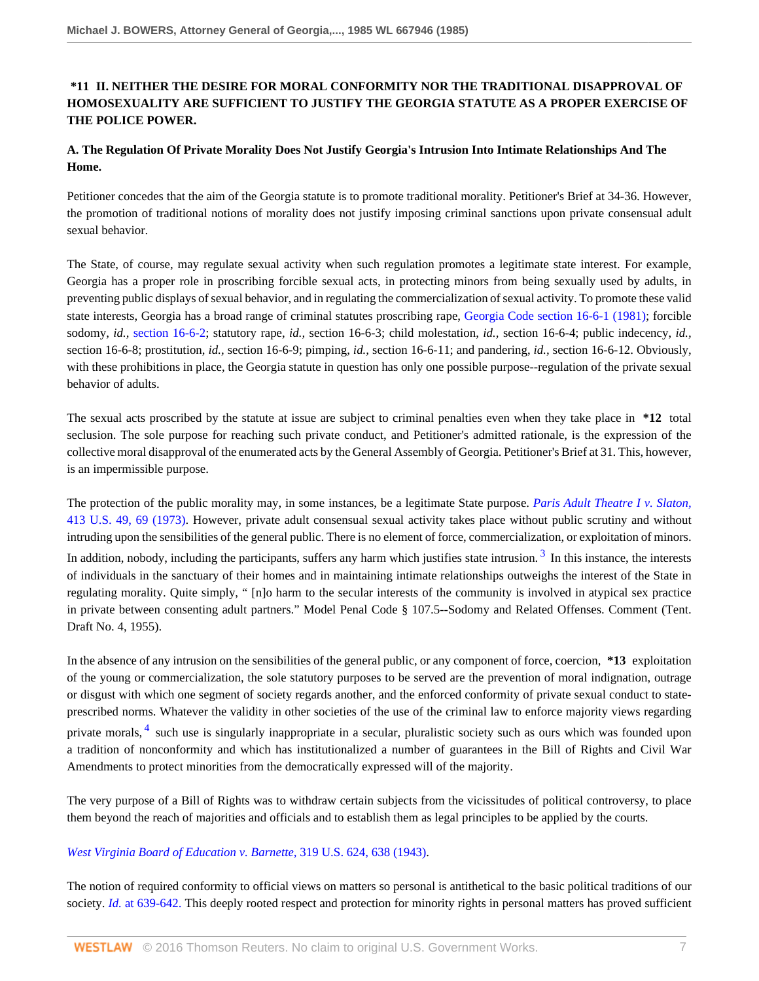## **\*11 II. NEITHER THE DESIRE FOR MORAL CONFORMITY NOR THE TRADITIONAL DISAPPROVAL OF HOMOSEXUALITY ARE SUFFICIENT TO JUSTIFY THE GEORGIA STATUTE AS A PROPER EXERCISE OF THE POLICE POWER.**

## **A. The Regulation Of Private Morality Does Not Justify Georgia's Intrusion Into Intimate Relationships And The Home.**

Petitioner concedes that the aim of the Georgia statute is to promote traditional morality. Petitioner's Brief at 34-36. However, the promotion of traditional notions of morality does not justify imposing criminal sanctions upon private consensual adult sexual behavior.

The State, of course, may regulate sexual activity when such regulation promotes a legitimate state interest. For example, Georgia has a proper role in proscribing forcible sexual acts, in protecting minors from being sexually used by adults, in preventing public displays of sexual behavior, and in regulating the commercialization of sexual activity. To promote these valid state interests, Georgia has a broad range of criminal statutes proscribing rape, [Georgia Code section 16-6-1 \(1981\)](http://www.westlaw.com/Link/Document/FullText?findType=L&pubNum=1000468&cite=GAST16-6-1&originatingDoc=I133b58e06bec11d8b6329c82bf4522fb&refType=LQ&originationContext=document&vr=3.0&rs=cblt1.0&transitionType=DocumentItem&contextData=(sc.RelatedInfo)); forcible sodomy, *id.,* [section 16-6-2;](http://www.westlaw.com/Link/Document/FullText?findType=L&pubNum=1000468&cite=GAST16-6-2&originatingDoc=I133b58e06bec11d8b6329c82bf4522fb&refType=LQ&originationContext=document&vr=3.0&rs=cblt1.0&transitionType=DocumentItem&contextData=(sc.RelatedInfo)) statutory rape, *id.,* section 16-6-3; child molestation, *id.,* section 16-6-4; public indecency, *id.,* section 16-6-8; prostitution, *id.,* section 16-6-9; pimping, *id.,* section 16-6-11; and pandering, *id.,* section 16-6-12. Obviously, with these prohibitions in place, the Georgia statute in question has only one possible purpose--regulation of the private sexual behavior of adults.

The sexual acts proscribed by the statute at issue are subject to criminal penalties even when they take place in **\*12** total seclusion. The sole purpose for reaching such private conduct, and Petitioner's admitted rationale, is the expression of the collective moral disapproval of the enumerated acts by the General Assembly of Georgia. Petitioner's Brief at 31. This, however, is an impermissible purpose.

<span id="page-6-0"></span>The protection of the public morality may, in some instances, be a legitimate State purpose. *[Paris Adult Theatre I v. Slaton,](http://www.westlaw.com/Link/Document/FullText?findType=Y&serNum=1973126440&pubNum=780&originatingDoc=I133b58e06bec11d8b6329c82bf4522fb&refType=RP&fi=co_pp_sp_780_69&originationContext=document&vr=3.0&rs=cblt1.0&transitionType=DocumentItem&contextData=(sc.RelatedInfo)#co_pp_sp_780_69)* [413 U.S. 49, 69 \(1973\).](http://www.westlaw.com/Link/Document/FullText?findType=Y&serNum=1973126440&pubNum=780&originatingDoc=I133b58e06bec11d8b6329c82bf4522fb&refType=RP&fi=co_pp_sp_780_69&originationContext=document&vr=3.0&rs=cblt1.0&transitionType=DocumentItem&contextData=(sc.RelatedInfo)#co_pp_sp_780_69) However, private adult consensual sexual activity takes place without public scrutiny and without intruding upon the sensibilities of the general public. There is no element of force, commercialization, or exploitation of minors. In addition, nobody, including the participants, suffers any harm which justifies state intrusion.<sup>[3](#page-9-2)</sup> In this instance, the interests of individuals in the sanctuary of their homes and in maintaining intimate relationships outweighs the interest of the State in regulating morality. Quite simply, " [n]o harm to the secular interests of the community is involved in atypical sex practice in private between consenting adult partners." Model Penal Code § 107.5--Sodomy and Related Offenses. Comment (Tent. Draft No. 4, 1955).

<span id="page-6-1"></span>In the absence of any intrusion on the sensibilities of the general public, or any component of force, coercion, **\*13** exploitation of the young or commercialization, the sole statutory purposes to be served are the prevention of moral indignation, outrage or disgust with which one segment of society regards another, and the enforced conformity of private sexual conduct to stateprescribed norms. Whatever the validity in other societies of the use of the criminal law to enforce majority views regarding private morals, <sup>[4](#page-9-3)</sup> such use is singularly inappropriate in a secular, pluralistic society such as ours which was founded upon a tradition of nonconformity and which has institutionalized a number of guarantees in the Bill of Rights and Civil War Amendments to protect minorities from the democratically expressed will of the majority.

The very purpose of a Bill of Rights was to withdraw certain subjects from the vicissitudes of political controversy, to place them beyond the reach of majorities and officials and to establish them as legal principles to be applied by the courts.

### *[West Virginia Board of Education v. Barnette,](http://www.westlaw.com/Link/Document/FullText?findType=Y&serNum=1943120939&pubNum=780&originatingDoc=I133b58e06bec11d8b6329c82bf4522fb&refType=RP&fi=co_pp_sp_780_638&originationContext=document&vr=3.0&rs=cblt1.0&transitionType=DocumentItem&contextData=(sc.RelatedInfo)#co_pp_sp_780_638)* 319 U.S. 624, 638 (1943).

The notion of required conformity to official views on matters so personal is antithetical to the basic political traditions of our society. *Id.* [at 639-642.](http://www.westlaw.com/Link/Document/FullText?findType=Y&serNum=1943120939&originatingDoc=I133b58e06bec11d8b6329c82bf4522fb&refType=RP&originationContext=document&vr=3.0&rs=cblt1.0&transitionType=DocumentItem&contextData=(sc.RelatedInfo)) This deeply rooted respect and protection for minority rights in personal matters has proved sufficient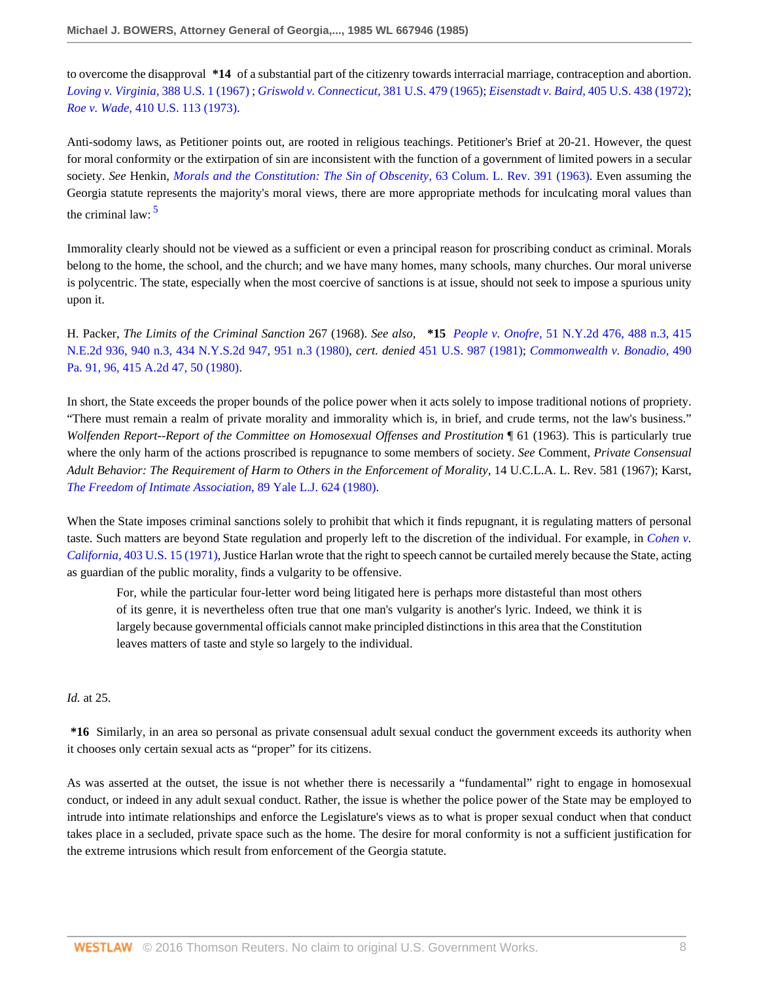to overcome the disapproval **\*14** of a substantial part of the citizenry towards interracial marriage, contraception and abortion. *[Loving v. Virginia,](http://www.westlaw.com/Link/Document/FullText?findType=Y&serNum=1967129542&pubNum=780&originatingDoc=I133b58e06bec11d8b6329c82bf4522fb&refType=RP&originationContext=document&vr=3.0&rs=cblt1.0&transitionType=DocumentItem&contextData=(sc.RelatedInfo))* 388 U.S. 1 (1967) ; *[Griswold v. Connecticut,](http://www.westlaw.com/Link/Document/FullText?findType=Y&serNum=1965125098&pubNum=780&originatingDoc=I133b58e06bec11d8b6329c82bf4522fb&refType=RP&originationContext=document&vr=3.0&rs=cblt1.0&transitionType=DocumentItem&contextData=(sc.RelatedInfo))* 381 U.S. 479 (1965); *Eisenstadt v. Baird,* [405 U.S. 438 \(1972\)](http://www.westlaw.com/Link/Document/FullText?findType=Y&serNum=1972127089&pubNum=780&originatingDoc=I133b58e06bec11d8b6329c82bf4522fb&refType=RP&originationContext=document&vr=3.0&rs=cblt1.0&transitionType=DocumentItem&contextData=(sc.RelatedInfo)); *Roe v. Wade,* [410 U.S. 113 \(1973\)](http://www.westlaw.com/Link/Document/FullText?findType=Y&serNum=1973126316&pubNum=780&originatingDoc=I133b58e06bec11d8b6329c82bf4522fb&refType=RP&originationContext=document&vr=3.0&rs=cblt1.0&transitionType=DocumentItem&contextData=(sc.RelatedInfo)).

Anti-sodomy laws, as Petitioner points out, are rooted in religious teachings. Petitioner's Brief at 20-21. However, the quest for moral conformity or the extirpation of sin are inconsistent with the function of a government of limited powers in a secular society. *See* Henkin, *[Morals and the Constitution: The Sin of Obscenity,](http://www.westlaw.com/Link/Document/FullText?findType=Y&serNum=0341650466&pubNum=3050&originatingDoc=I133b58e06bec11d8b6329c82bf4522fb&refType=LR&originationContext=document&vr=3.0&rs=cblt1.0&transitionType=DocumentItem&contextData=(sc.RelatedInfo))* 63 Colum. L. Rev. 391 (1963). Even assuming the Georgia statute represents the majority's moral views, there are more appropriate methods for inculcating moral values than the criminal law:  $5$ 

<span id="page-7-0"></span>Immorality clearly should not be viewed as a sufficient or even a principal reason for proscribing conduct as criminal. Morals belong to the home, the school, and the church; and we have many homes, many schools, many churches. Our moral universe is polycentric. The state, especially when the most coercive of sanctions is at issue, should not seek to impose a spurious unity upon it.

H. Packer, *The Limits of the Criminal Sanction* 267 (1968). *See also,* **\*15** *People v. Onofre,* [51 N.Y.2d 476, 488 n.3, 415](http://www.westlaw.com/Link/Document/FullText?findType=Y&serNum=1981105023&pubNum=602&originatingDoc=I133b58e06bec11d8b6329c82bf4522fb&refType=RP&fi=co_pp_sp_602_951&originationContext=document&vr=3.0&rs=cblt1.0&transitionType=DocumentItem&contextData=(sc.RelatedInfo)#co_pp_sp_602_951) [N.E.2d 936, 940 n.3, 434 N.Y.S.2d 947, 951 n.3 \(1980\),](http://www.westlaw.com/Link/Document/FullText?findType=Y&serNum=1981105023&pubNum=602&originatingDoc=I133b58e06bec11d8b6329c82bf4522fb&refType=RP&fi=co_pp_sp_602_951&originationContext=document&vr=3.0&rs=cblt1.0&transitionType=DocumentItem&contextData=(sc.RelatedInfo)#co_pp_sp_602_951) *cert. denied* [451 U.S. 987 \(1981\);](http://www.westlaw.com/Link/Document/FullText?findType=Y&pubNum=780&cite=451US987&originatingDoc=I133b58e06bec11d8b6329c82bf4522fb&refType=RP&originationContext=document&vr=3.0&rs=cblt1.0&transitionType=DocumentItem&contextData=(sc.RelatedInfo)) *[Commonwealth v. Bonadio,](http://www.westlaw.com/Link/Document/FullText?findType=Y&serNum=1980112220&pubNum=162&originatingDoc=I133b58e06bec11d8b6329c82bf4522fb&refType=RP&fi=co_pp_sp_162_50&originationContext=document&vr=3.0&rs=cblt1.0&transitionType=DocumentItem&contextData=(sc.RelatedInfo)#co_pp_sp_162_50)* 490 [Pa. 91, 96, 415 A.2d 47, 50 \(1980\).](http://www.westlaw.com/Link/Document/FullText?findType=Y&serNum=1980112220&pubNum=162&originatingDoc=I133b58e06bec11d8b6329c82bf4522fb&refType=RP&fi=co_pp_sp_162_50&originationContext=document&vr=3.0&rs=cblt1.0&transitionType=DocumentItem&contextData=(sc.RelatedInfo)#co_pp_sp_162_50)

In short, the State exceeds the proper bounds of the police power when it acts solely to impose traditional notions of propriety. "There must remain a realm of private morality and immorality which is, in brief, and crude terms, not the law's business." *Wolfenden Report--Report of the Committee on Homosexual Offenses and Prostitution* ¶ 61 (1963). This is particularly true where the only harm of the actions proscribed is repugnance to some members of society. *See* Comment, *Private Consensual Adult Behavior: The Requirement of Harm to Others in the Enforcement of Morality,* 14 U.C.L.A. L. Rev. 581 (1967); Karst, *[The Freedom of Intimate Association,](http://www.westlaw.com/Link/Document/FullText?findType=Y&serNum=0332705193&pubNum=1292&originatingDoc=I133b58e06bec11d8b6329c82bf4522fb&refType=LR&originationContext=document&vr=3.0&rs=cblt1.0&transitionType=DocumentItem&contextData=(sc.RelatedInfo))* 89 Yale L.J. 624 (1980).

When the State imposes criminal sanctions solely to prohibit that which it finds repugnant, it is regulating matters of personal taste. Such matters are beyond State regulation and properly left to the discretion of the individual. For example, in *[Cohen v.](http://www.westlaw.com/Link/Document/FullText?findType=Y&serNum=1971127088&pubNum=780&originatingDoc=I133b58e06bec11d8b6329c82bf4522fb&refType=RP&originationContext=document&vr=3.0&rs=cblt1.0&transitionType=DocumentItem&contextData=(sc.RelatedInfo)) California,* [403 U.S. 15 \(1971\),](http://www.westlaw.com/Link/Document/FullText?findType=Y&serNum=1971127088&pubNum=780&originatingDoc=I133b58e06bec11d8b6329c82bf4522fb&refType=RP&originationContext=document&vr=3.0&rs=cblt1.0&transitionType=DocumentItem&contextData=(sc.RelatedInfo)) Justice Harlan wrote that the right to speech cannot be curtailed merely because the State, acting as guardian of the public morality, finds a vulgarity to be offensive.

For, while the particular four-letter word being litigated here is perhaps more distasteful than most others of its genre, it is nevertheless often true that one man's vulgarity is another's lyric. Indeed, we think it is largely because governmental officials cannot make principled distinctions in this area that the Constitution leaves matters of taste and style so largely to the individual.

#### *Id.* at 25.

**\*16** Similarly, in an area so personal as private consensual adult sexual conduct the government exceeds its authority when it chooses only certain sexual acts as "proper" for its citizens.

As was asserted at the outset, the issue is not whether there is necessarily a "fundamental" right to engage in homosexual conduct, or indeed in any adult sexual conduct. Rather, the issue is whether the police power of the State may be employed to intrude into intimate relationships and enforce the Legislature's views as to what is proper sexual conduct when that conduct takes place in a secluded, private space such as the home. The desire for moral conformity is not a sufficient justification for the extreme intrusions which result from enforcement of the Georgia statute.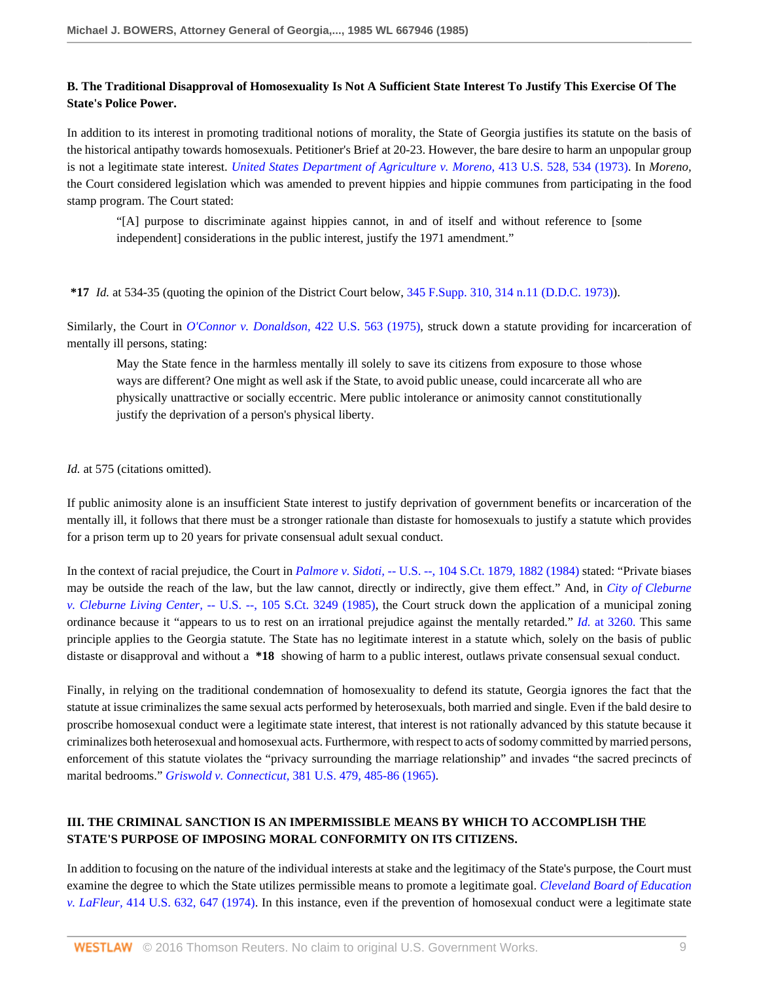### **B. The Traditional Disapproval of Homosexuality Is Not A Sufficient State Interest To Justify This Exercise Of The State's Police Power.**

In addition to its interest in promoting traditional notions of morality, the State of Georgia justifies its statute on the basis of the historical antipathy towards homosexuals. Petitioner's Brief at 20-23. However, the bare desire to harm an unpopular group is not a legitimate state interest. *[United States Department of Agriculture v. Moreno,](http://www.westlaw.com/Link/Document/FullText?findType=Y&serNum=1973126451&pubNum=780&originatingDoc=I133b58e06bec11d8b6329c82bf4522fb&refType=RP&fi=co_pp_sp_780_534&originationContext=document&vr=3.0&rs=cblt1.0&transitionType=DocumentItem&contextData=(sc.RelatedInfo)#co_pp_sp_780_534)* 413 U.S. 528, 534 (1973). In *Moreno,* the Court considered legislation which was amended to prevent hippies and hippie communes from participating in the food stamp program. The Court stated:

"[A] purpose to discriminate against hippies cannot, in and of itself and without reference to [some independent] considerations in the public interest, justify the 1971 amendment."

#### **\*17** *Id.* at 534-35 (quoting the opinion of the District Court below, [345 F.Supp. 310, 314 n.11 \(D.D.C. 1973\)\)](http://www.westlaw.com/Link/Document/FullText?findType=Y&serNum=1972105651&pubNum=345&originatingDoc=I133b58e06bec11d8b6329c82bf4522fb&refType=RP&fi=co_pp_sp_345_314&originationContext=document&vr=3.0&rs=cblt1.0&transitionType=DocumentItem&contextData=(sc.RelatedInfo)#co_pp_sp_345_314).

Similarly, the Court in *[O'Connor v. Donaldson,](http://www.westlaw.com/Link/Document/FullText?findType=Y&serNum=1975129835&pubNum=780&originatingDoc=I133b58e06bec11d8b6329c82bf4522fb&refType=RP&originationContext=document&vr=3.0&rs=cblt1.0&transitionType=DocumentItem&contextData=(sc.RelatedInfo))* 422 U.S. 563 (1975), struck down a statute providing for incarceration of mentally ill persons, stating:

May the State fence in the harmless mentally ill solely to save its citizens from exposure to those whose ways are different? One might as well ask if the State, to avoid public unease, could incarcerate all who are physically unattractive or socially eccentric. Mere public intolerance or animosity cannot constitutionally justify the deprivation of a person's physical liberty.

#### *Id.* at 575 (citations omitted).

If public animosity alone is an insufficient State interest to justify deprivation of government benefits or incarceration of the mentally ill, it follows that there must be a stronger rationale than distaste for homosexuals to justify a statute which provides for a prison term up to 20 years for private consensual adult sexual conduct.

In the context of racial prejudice, the Court in *Palmore v. Sidoti,* [-- U.S. --, 104 S.Ct. 1879, 1882 \(1984\)](http://www.westlaw.com/Link/Document/FullText?findType=Y&serNum=1984120053&pubNum=708&originatingDoc=I133b58e06bec11d8b6329c82bf4522fb&refType=RP&fi=co_pp_sp_708_1882&originationContext=document&vr=3.0&rs=cblt1.0&transitionType=DocumentItem&contextData=(sc.RelatedInfo)#co_pp_sp_708_1882) stated: "Private biases may be outside the reach of the law, but the law cannot, directly or indirectly, give them effect." And, in *[City of Cleburne](http://www.westlaw.com/Link/Document/FullText?findType=Y&serNum=1985133474&pubNum=708&originatingDoc=I133b58e06bec11d8b6329c82bf4522fb&refType=RP&originationContext=document&vr=3.0&rs=cblt1.0&transitionType=DocumentItem&contextData=(sc.RelatedInfo)) v. Cleburne Living Center,* [-- U.S. --, 105 S.Ct. 3249 \(1985\),](http://www.westlaw.com/Link/Document/FullText?findType=Y&serNum=1985133474&pubNum=708&originatingDoc=I133b58e06bec11d8b6329c82bf4522fb&refType=RP&originationContext=document&vr=3.0&rs=cblt1.0&transitionType=DocumentItem&contextData=(sc.RelatedInfo)) the Court struck down the application of a municipal zoning ordinance because it "appears to us to rest on an irrational prejudice against the mentally retarded." *Id.* [at 3260.](http://www.westlaw.com/Link/Document/FullText?findType=Y&serNum=1985133474&originatingDoc=I133b58e06bec11d8b6329c82bf4522fb&refType=RP&originationContext=document&vr=3.0&rs=cblt1.0&transitionType=DocumentItem&contextData=(sc.RelatedInfo)) This same principle applies to the Georgia statute. The State has no legitimate interest in a statute which, solely on the basis of public distaste or disapproval and without a **\*18** showing of harm to a public interest, outlaws private consensual sexual conduct.

Finally, in relying on the traditional condemnation of homosexuality to defend its statute, Georgia ignores the fact that the statute at issue criminalizes the same sexual acts performed by heterosexuals, both married and single. Even if the bald desire to proscribe homosexual conduct were a legitimate state interest, that interest is not rationally advanced by this statute because it criminalizes both heterosexual and homosexual acts. Furthermore, with respect to acts of sodomy committed by married persons, enforcement of this statute violates the "privacy surrounding the marriage relationship" and invades "the sacred precincts of marital bedrooms." *Griswold v. Connecticut,* [381 U.S. 479, 485-86 \(1965\)](http://www.westlaw.com/Link/Document/FullText?findType=Y&serNum=1965125098&pubNum=780&originatingDoc=I133b58e06bec11d8b6329c82bf4522fb&refType=RP&fi=co_pp_sp_780_485&originationContext=document&vr=3.0&rs=cblt1.0&transitionType=DocumentItem&contextData=(sc.RelatedInfo)#co_pp_sp_780_485).

# **III. THE CRIMINAL SANCTION IS AN IMPERMISSIBLE MEANS BY WHICH TO ACCOMPLISH THE STATE'S PURPOSE OF IMPOSING MORAL CONFORMITY ON ITS CITIZENS.**

In addition to focusing on the nature of the individual interests at stake and the legitimacy of the State's purpose, the Court must examine the degree to which the State utilizes permissible means to promote a legitimate goal. *[Cleveland Board of Education](http://www.westlaw.com/Link/Document/FullText?findType=Y&serNum=1974127118&pubNum=780&originatingDoc=I133b58e06bec11d8b6329c82bf4522fb&refType=RP&fi=co_pp_sp_780_647&originationContext=document&vr=3.0&rs=cblt1.0&transitionType=DocumentItem&contextData=(sc.RelatedInfo)#co_pp_sp_780_647) v. LaFleur,* [414 U.S. 632, 647 \(1974\).](http://www.westlaw.com/Link/Document/FullText?findType=Y&serNum=1974127118&pubNum=780&originatingDoc=I133b58e06bec11d8b6329c82bf4522fb&refType=RP&fi=co_pp_sp_780_647&originationContext=document&vr=3.0&rs=cblt1.0&transitionType=DocumentItem&contextData=(sc.RelatedInfo)#co_pp_sp_780_647) In this instance, even if the prevention of homosexual conduct were a legitimate state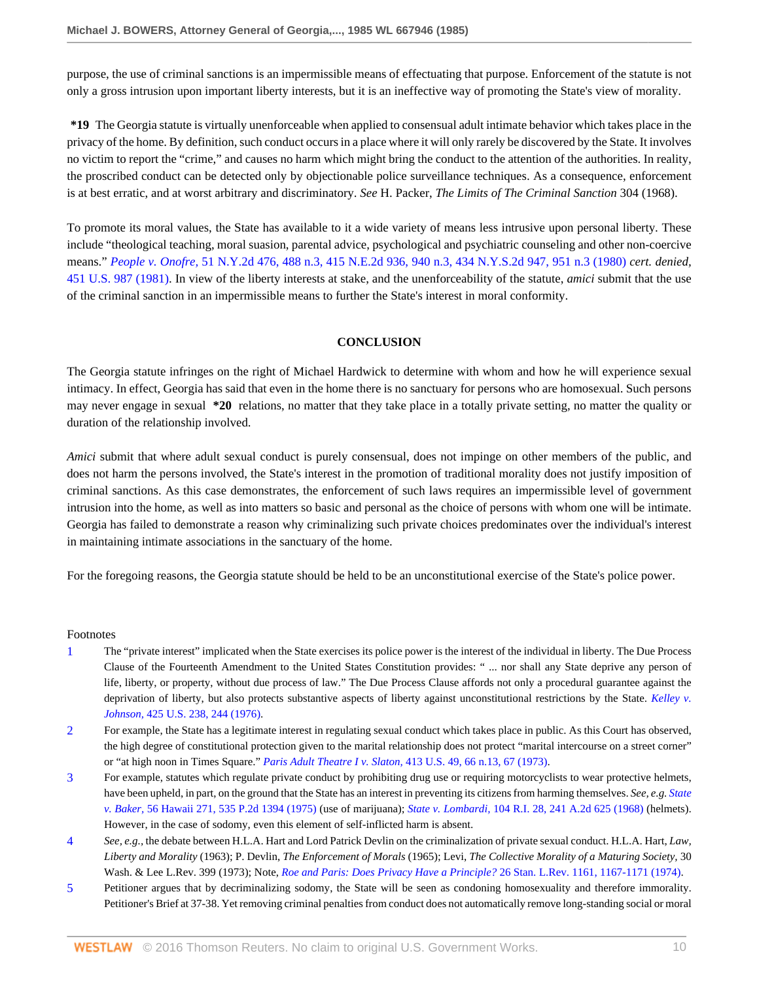purpose, the use of criminal sanctions is an impermissible means of effectuating that purpose. Enforcement of the statute is not only a gross intrusion upon important liberty interests, but it is an ineffective way of promoting the State's view of morality.

**\*19** The Georgia statute is virtually unenforceable when applied to consensual adult intimate behavior which takes place in the privacy of the home. By definition, such conduct occurs in a place where it will only rarely be discovered by the State. It involves no victim to report the "crime," and causes no harm which might bring the conduct to the attention of the authorities. In reality, the proscribed conduct can be detected only by objectionable police surveillance techniques. As a consequence, enforcement is at best erratic, and at worst arbitrary and discriminatory. *See* H. Packer, *The Limits of The Criminal Sanction* 304 (1968).

To promote its moral values, the State has available to it a wide variety of means less intrusive upon personal liberty. These include "theological teaching, moral suasion, parental advice, psychological and psychiatric counseling and other non-coercive means." *People v. Onofre,* [51 N.Y.2d 476, 488 n.3, 415 N.E.2d 936, 940 n.3, 434 N.Y.S.2d 947, 951 n.3 \(1980\)](http://www.westlaw.com/Link/Document/FullText?findType=Y&serNum=1981105023&pubNum=602&originatingDoc=I133b58e06bec11d8b6329c82bf4522fb&refType=RP&fi=co_pp_sp_602_951&originationContext=document&vr=3.0&rs=cblt1.0&transitionType=DocumentItem&contextData=(sc.RelatedInfo)#co_pp_sp_602_951) *cert. denied,* [451 U.S. 987 \(1981\)](http://www.westlaw.com/Link/Document/FullText?findType=Y&pubNum=780&cite=451US987&originatingDoc=I133b58e06bec11d8b6329c82bf4522fb&refType=RP&originationContext=document&vr=3.0&rs=cblt1.0&transitionType=DocumentItem&contextData=(sc.RelatedInfo)). In view of the liberty interests at stake, and the unenforceability of the statute, *amici* submit that the use of the criminal sanction in an impermissible means to further the State's interest in moral conformity.

#### **CONCLUSION**

The Georgia statute infringes on the right of Michael Hardwick to determine with whom and how he will experience sexual intimacy. In effect, Georgia has said that even in the home there is no sanctuary for persons who are homosexual. Such persons may never engage in sexual **\*20** relations, no matter that they take place in a totally private setting, no matter the quality or duration of the relationship involved.

*Amici* submit that where adult sexual conduct is purely consensual, does not impinge on other members of the public, and does not harm the persons involved, the State's interest in the promotion of traditional morality does not justify imposition of criminal sanctions. As this case demonstrates, the enforcement of such laws requires an impermissible level of government intrusion into the home, as well as into matters so basic and personal as the choice of persons with whom one will be intimate. Georgia has failed to demonstrate a reason why criminalizing such private choices predominates over the individual's interest in maintaining intimate associations in the sanctuary of the home.

For the foregoing reasons, the Georgia statute should be held to be an unconstitutional exercise of the State's police power.

#### Footnotes

- <span id="page-9-0"></span>[1](#page-3-0) The "private interest" implicated when the State exercises its police power is the interest of the individual in liberty. The Due Process Clause of the Fourteenth Amendment to the United States Constitution provides: " ... nor shall any State deprive any person of life, liberty, or property, without due process of law." The Due Process Clause affords not only a procedural guarantee against the deprivation of liberty, but also protects substantive aspects of liberty against unconstitutional restrictions by the State. *[Kelley v.](http://www.westlaw.com/Link/Document/FullText?findType=Y&serNum=1976142352&pubNum=780&originatingDoc=I133b58e06bec11d8b6329c82bf4522fb&refType=RP&fi=co_pp_sp_780_244&originationContext=document&vr=3.0&rs=cblt1.0&transitionType=DocumentItem&contextData=(sc.RelatedInfo)#co_pp_sp_780_244) Johnson,* [425 U.S. 238, 244 \(1976\)](http://www.westlaw.com/Link/Document/FullText?findType=Y&serNum=1976142352&pubNum=780&originatingDoc=I133b58e06bec11d8b6329c82bf4522fb&refType=RP&fi=co_pp_sp_780_244&originationContext=document&vr=3.0&rs=cblt1.0&transitionType=DocumentItem&contextData=(sc.RelatedInfo)#co_pp_sp_780_244).
- <span id="page-9-1"></span>[2](#page-5-0) For example, the State has a legitimate interest in regulating sexual conduct which takes place in public. As this Court has observed, the high degree of constitutional protection given to the marital relationship does not protect "marital intercourse on a street corner" or "at high noon in Times Square." *Paris Adult Theatre I v. Slaton,* [413 U.S. 49, 66 n.13, 67 \(1973\).](http://www.westlaw.com/Link/Document/FullText?findType=Y&serNum=1973126440&pubNum=780&originatingDoc=I133b58e06bec11d8b6329c82bf4522fb&refType=RP&fi=co_pp_sp_780_66&originationContext=document&vr=3.0&rs=cblt1.0&transitionType=DocumentItem&contextData=(sc.RelatedInfo)#co_pp_sp_780_66)
- <span id="page-9-2"></span>[3](#page-6-0) For example, statutes which regulate private conduct by prohibiting drug use or requiring motorcyclists to wear protective helmets, have been upheld, in part, on the ground that the State has an interest in preventing its citizens from harming themselves. *See, e.g. [State](http://www.westlaw.com/Link/Document/FullText?findType=Y&serNum=1975126750&pubNum=661&originatingDoc=I133b58e06bec11d8b6329c82bf4522fb&refType=RP&originationContext=document&vr=3.0&rs=cblt1.0&transitionType=DocumentItem&contextData=(sc.RelatedInfo)) v. Baker,* [56 Hawaii 271, 535 P.2d 1394 \(1975\)](http://www.westlaw.com/Link/Document/FullText?findType=Y&serNum=1975126750&pubNum=661&originatingDoc=I133b58e06bec11d8b6329c82bf4522fb&refType=RP&originationContext=document&vr=3.0&rs=cblt1.0&transitionType=DocumentItem&contextData=(sc.RelatedInfo)) (use of marijuana); *State v. Lombardi,* [104 R.I. 28, 241 A.2d 625 \(1968\)](http://www.westlaw.com/Link/Document/FullText?findType=Y&serNum=1968109370&pubNum=162&originatingDoc=I133b58e06bec11d8b6329c82bf4522fb&refType=RP&originationContext=document&vr=3.0&rs=cblt1.0&transitionType=DocumentItem&contextData=(sc.RelatedInfo)) (helmets). However, in the case of sodomy, even this element of self-inflicted harm is absent.
- <span id="page-9-3"></span>[4](#page-6-1) *See, e.g.,* the debate between H.L.A. Hart and Lord Patrick Devlin on the criminalization of private sexual conduct. H.L.A. Hart, *Law, Liberty and Morality* (1963); P. Devlin, *The Enforcement of Morals* (1965); Levi, *The Collective Morality of a Maturing Society,* 30 Wash. & Lee L.Rev. 399 (1973); Note, *[Roe and Paris: Does Privacy Have a Principle?](http://www.westlaw.com/Link/Document/FullText?findType=Y&serNum=0306383216&pubNum=1239&originatingDoc=I133b58e06bec11d8b6329c82bf4522fb&refType=LR&fi=co_pp_sp_1239_1167&originationContext=document&vr=3.0&rs=cblt1.0&transitionType=DocumentItem&contextData=(sc.RelatedInfo)#co_pp_sp_1239_1167)* 26 Stan. L.Rev. 1161, 1167-1171 (1974).
- <span id="page-9-4"></span>[5](#page-7-0) Petitioner argues that by decriminalizing sodomy, the State will be seen as condoning homosexuality and therefore immorality. Petitioner's Brief at 37-38. Yet removing criminal penalties from conduct does not automatically remove long-standing social or moral